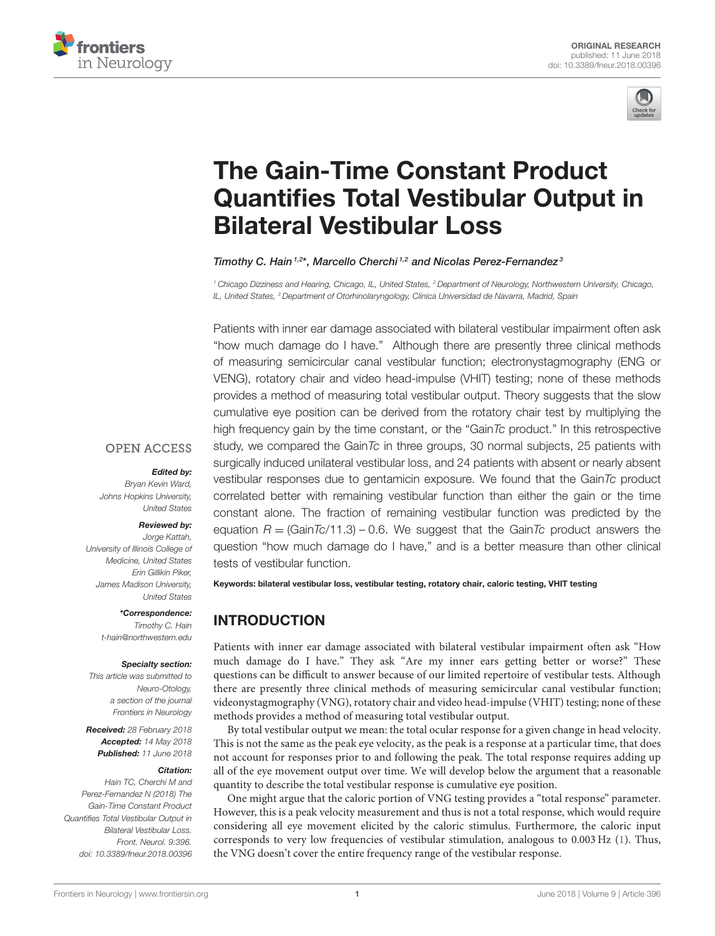



# The Gain-Time Constant Product [Quantifies Total Vestibular Output in](https://www.frontiersin.org/articles/10.3389/fneur.2018.00396/full) Bilateral Vestibular Loss

#### [Timothy C. Hain](http://loop.frontiersin.org/people/197461/overview)<sup>1,2\*</sup>, [Marcello Cherchi](http://loop.frontiersin.org/people/534570/overview)<sup>1,2</sup> and [Nicolas Perez-Fernandez](http://loop.frontiersin.org/people/20029/overview)<sup>3</sup>

*<sup>1</sup> Chicago Dizziness and Hearing, Chicago, IL, United States, <sup>2</sup> Department of Neurology, Northwestern University, Chicago, IL, United States, <sup>3</sup> Department of Otorhinolaryngology, Clinica Universidad de Navarra, Madrid, Spain*

Patients with inner ear damage associated with bilateral vestibular impairment often ask "how much damage do I have." Although there are presently three clinical methods of measuring semicircular canal vestibular function; electronystagmography (ENG or VENG), rotatory chair and video head-impulse (VHIT) testing; none of these methods provides a method of measuring total vestibular output. Theory suggests that the slow cumulative eye position can be derived from the rotatory chair test by multiplying the high frequency gain by the time constant, or the "Gain*Tc* product." In this retrospective study, we compared the Gain*Tc* in three groups, 30 normal subjects, 25 patients with surgically induced unilateral vestibular loss, and 24 patients with absent or nearly absent vestibular responses due to gentamicin exposure. We found that the Gain*Tc* product correlated better with remaining vestibular function than either the gain or the time constant alone. The fraction of remaining vestibular function was predicted by the equation  $R = (GainTo/11.3) - 0.6$ . We suggest that the Gain*Tc* product answers the question "how much damage do I have," and is a better measure than other clinical

### **OPEN ACCESS**

#### Edited by:

*Bryan Kevin Ward, Johns Hopkins University, United States*

#### Reviewed by:

*Jorge Kattah, University of Illinois College of Medicine, United States Erin Gillikin Piker, James Madison University, United States*

> \*Correspondence: *Timothy C. Hain [t-hain@northwestern.edu](mailto:t-hain@northwestern.edu)*

#### Specialty section:

*This article was submitted to Neuro-Otology, a section of the journal Frontiers in Neurology*

Received: *28 February 2018* Accepted: *14 May 2018* Published: *11 June 2018*

#### Citation:

*Hain TC, Cherchi M and Perez-Fernandez N (2018) The Gain-Time Constant Product Quantifies Total Vestibular Output in Bilateral Vestibular Loss. Front. Neurol. 9:396. doi: [10.3389/fneur.2018.00396](https://doi.org/10.3389/fneur.2018.00396)*

[Frontiers in Neurology](https://www.frontiersin.org/journals/neurology)| [www.frontiersin.org](https://www.frontiersin.org) 1 and 1 and 1 and 1 and 1 and 1 and 1 and 1 and 1 and 1 and 1 and 1 and 1 and 1 and 1 and 1 and 1 and 1 and 1 and 1 and 1 and 1 and 1 and 1 and 1 and 1 and 1 and 1 and 1 and 1 a

tests of vestibular function. Keywords: bilateral vestibular loss, vestibular testing, rotatory chair, caloric testing, VHIT testing

# INTRODUCTION

Patients with inner ear damage associated with bilateral vestibular impairment often ask "How much damage do I have." They ask "Are my inner ears getting better or worse?" These questions can be difficult to answer because of our limited repertoire of vestibular tests. Although there are presently three clinical methods of measuring semicircular canal vestibular function; videonystagmography (VNG), rotatory chair and video head-impulse (VHIT) testing; none of these methods provides a method of measuring total vestibular output.

By total vestibular output we mean: the total ocular response for a given change in head velocity. This is not the same as the peak eye velocity, as the peak is a response at a particular time, that does not account for responses prior to and following the peak. The total response requires adding up all of the eye movement output over time. We will develop below the argument that a reasonable quantity to describe the total vestibular response is cumulative eye position.

One might argue that the caloric portion of VNG testing provides a "total response" parameter. However, this is a peak velocity measurement and thus is not a total response, which would require considering all eye movement elicited by the caloric stimulus. Furthermore, the caloric input corresponds to very low frequencies of vestibular stimulation, analogous to 0.003 Hz [\(1\)](#page-4-0). Thus, the VNG doesn't cover the entire frequency range of the vestibular response.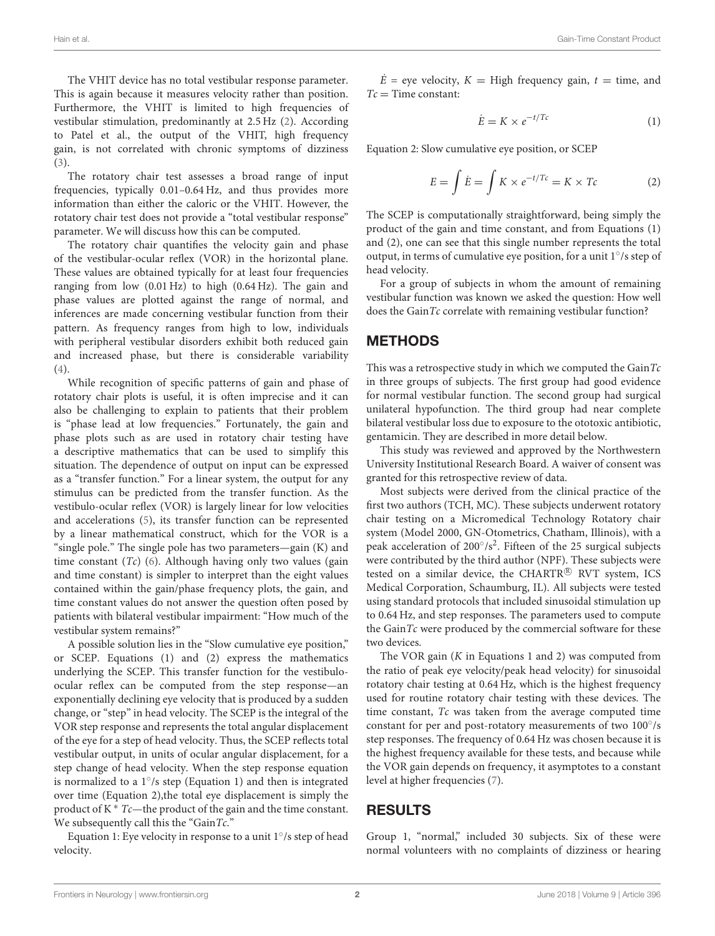The VHIT device has no total vestibular response parameter. This is again because it measures velocity rather than position. Furthermore, the VHIT is limited to high frequencies of vestibular stimulation, predominantly at 2.5 Hz [\(2\)](#page-4-1). According to Patel et al., the output of the VHIT, high frequency gain, is not correlated with chronic symptoms of dizziness [\(3\)](#page-5-0).

The rotatory chair test assesses a broad range of input frequencies, typically 0.01–0.64 Hz, and thus provides more information than either the caloric or the VHIT. However, the rotatory chair test does not provide a "total vestibular response" parameter. We will discuss how this can be computed.

The rotatory chair quantifies the velocity gain and phase of the vestibular-ocular reflex (VOR) in the horizontal plane. These values are obtained typically for at least four frequencies ranging from low (0.01 Hz) to high (0.64 Hz). The gain and phase values are plotted against the range of normal, and inferences are made concerning vestibular function from their pattern. As frequency ranges from high to low, individuals with peripheral vestibular disorders exhibit both reduced gain and increased phase, but there is considerable variability [\(4\)](#page-5-1).

While recognition of specific patterns of gain and phase of rotatory chair plots is useful, it is often imprecise and it can also be challenging to explain to patients that their problem is "phase lead at low frequencies." Fortunately, the gain and phase plots such as are used in rotatory chair testing have a descriptive mathematics that can be used to simplify this situation. The dependence of output on input can be expressed as a "transfer function." For a linear system, the output for any stimulus can be predicted from the transfer function. As the vestibulo-ocular reflex (VOR) is largely linear for low velocities and accelerations [\(5\)](#page-5-2), its transfer function can be represented by a linear mathematical construct, which for the VOR is a "single pole." The single pole has two parameters—gain (K) and time constant  $(Tc)$  [\(6\)](#page-5-3). Although having only two values (gain and time constant) is simpler to interpret than the eight values contained within the gain/phase frequency plots, the gain, and time constant values do not answer the question often posed by patients with bilateral vestibular impairment: "How much of the vestibular system remains?"

A possible solution lies in the "Slow cumulative eye position," or SCEP. Equations (1) and (2) express the mathematics underlying the SCEP. This transfer function for the vestibuloocular reflex can be computed from the step response—an exponentially declining eye velocity that is produced by a sudden change, or "step" in head velocity. The SCEP is the integral of the VOR step response and represents the total angular displacement of the eye for a step of head velocity. Thus, the SCEP reflects total vestibular output, in units of ocular angular displacement, for a step change of head velocity. When the step response equation is normalized to a 1◦ /s step (Equation 1) and then is integrated over time (Equation 2),the total eye displacement is simply the product of K  $*$  Tc—the product of the gain and the time constant. We subsequently call this the "GainTc."

Equation 1: Eye velocity in response to a unit 1◦ /s step of head velocity.

 $\dot{E}$  = eye velocity,  $K =$  High frequency gain,  $t =$  time, and  $Tc =$ Time constant:

$$
\dot{E} = K \times e^{-t/Tc} \tag{1}
$$

Equation 2: Slow cumulative eye position, or SCEP

$$
E = \int \dot{E} = \int K \times e^{-t/Tc} = K \times Tc \tag{2}
$$

The SCEP is computationally straightforward, being simply the product of the gain and time constant, and from Equations (1) and (2), one can see that this single number represents the total output, in terms of cumulative eye position, for a unit 1◦ /s step of head velocity.

For a group of subjects in whom the amount of remaining vestibular function was known we asked the question: How well does the Gain $Tc$  correlate with remaining vestibular function?

## **METHODS**

This was a retrospective study in which we computed the  $GainTc$ in three groups of subjects. The first group had good evidence for normal vestibular function. The second group had surgical unilateral hypofunction. The third group had near complete bilateral vestibular loss due to exposure to the ototoxic antibiotic, gentamicin. They are described in more detail below.

This study was reviewed and approved by the Northwestern University Institutional Research Board. A waiver of consent was granted for this retrospective review of data.

Most subjects were derived from the clinical practice of the first two authors (TCH, MC). These subjects underwent rotatory chair testing on a Micromedical Technology Rotatory chair system (Model 2000, GN-Otometrics, Chatham, Illinois), with a peak acceleration of 200°/s<sup>2</sup>. Fifteen of the 25 surgical subjects were contributed by the third author (NPF). These subjects were tested on a similar device, the CHARTR $\mathbb{R}$  RVT system, ICS Medical Corporation, Schaumburg, IL). All subjects were tested using standard protocols that included sinusoidal stimulation up to 0.64 Hz, and step responses. The parameters used to compute the Gain $Tc$  were produced by the commercial software for these two devices.

The VOR gain  $(K$  in Equations 1 and 2) was computed from the ratio of peak eye velocity/peak head velocity) for sinusoidal rotatory chair testing at 0.64 Hz, which is the highest frequency used for routine rotatory chair testing with these devices. The time constant,  $Tc$  was taken from the average computed time constant for per and post-rotatory measurements of two 100°/s step responses. The frequency of 0.64 Hz was chosen because it is the highest frequency available for these tests, and because while the VOR gain depends on frequency, it asymptotes to a constant level at higher frequencies [\(7\)](#page-5-4).

## RESULTS

Group 1, "normal," included 30 subjects. Six of these were normal volunteers with no complaints of dizziness or hearing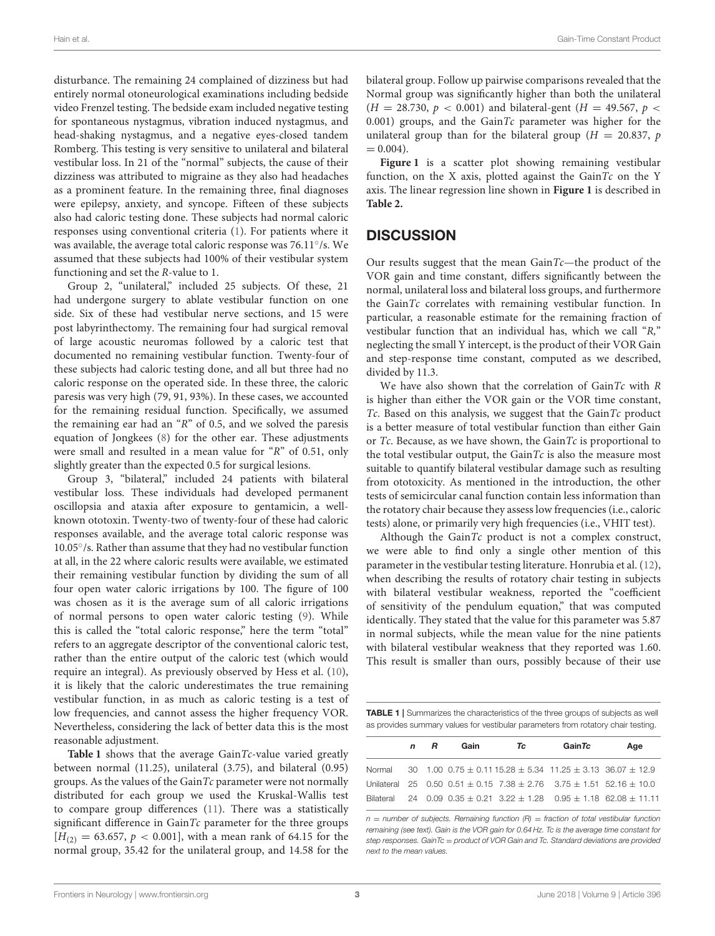disturbance. The remaining 24 complained of dizziness but had entirely normal otoneurological examinations including bedside video Frenzel testing. The bedside exam included negative testing for spontaneous nystagmus, vibration induced nystagmus, and head-shaking nystagmus, and a negative eyes-closed tandem Romberg. This testing is very sensitive to unilateral and bilateral vestibular loss. In 21 of the "normal" subjects, the cause of their dizziness was attributed to migraine as they also had headaches as a prominent feature. In the remaining three, final diagnoses were epilepsy, anxiety, and syncope. Fifteen of these subjects also had caloric testing done. These subjects had normal caloric responses using conventional criteria [\(1\)](#page-4-0). For patients where it was available, the average total caloric response was 76.11°/s. We assumed that these subjects had 100% of their vestibular system functioning and set the R-value to 1.

Group 2, "unilateral," included 25 subjects. Of these, 21 had undergone surgery to ablate vestibular function on one side. Six of these had vestibular nerve sections, and 15 were post labyrinthectomy. The remaining four had surgical removal of large acoustic neuromas followed by a caloric test that documented no remaining vestibular function. Twenty-four of these subjects had caloric testing done, and all but three had no caloric response on the operated side. In these three, the caloric paresis was very high (79, 91, 93%). In these cases, we accounted for the remaining residual function. Specifically, we assumed the remaining ear had an "R" of 0.5, and we solved the paresis equation of Jongkees [\(8\)](#page-5-5) for the other ear. These adjustments were small and resulted in a mean value for "R" of 0.51, only slightly greater than the expected 0.5 for surgical lesions.

Group 3, "bilateral," included 24 patients with bilateral vestibular loss. These individuals had developed permanent oscillopsia and ataxia after exposure to gentamicin, a wellknown ototoxin. Twenty-two of twenty-four of these had caloric responses available, and the average total caloric response was 10.05◦ /s. Rather than assume that they had no vestibular function at all, in the 22 where caloric results were available, we estimated their remaining vestibular function by dividing the sum of all four open water caloric irrigations by 100. The figure of 100 was chosen as it is the average sum of all caloric irrigations of normal persons to open water caloric testing [\(9\)](#page-5-6). While this is called the "total caloric response," here the term "total" refers to an aggregate descriptor of the conventional caloric test, rather than the entire output of the caloric test (which would require an integral). As previously observed by Hess et al. [\(10\)](#page-5-7), it is likely that the caloric underestimates the true remaining vestibular function, in as much as caloric testing is a test of low frequencies, and cannot assess the higher frequency VOR. Nevertheless, considering the lack of better data this is the most reasonable adjustment.

**[Table 1](#page-2-0)** shows that the average GainTc-value varied greatly between normal (11.25), unilateral (3.75), and bilateral (0.95) groups. As the values of the GainTc parameter were not normally distributed for each group we used the Kruskal-Wallis test to compare group differences [\(11\)](#page-5-8). There was a statistically significant difference in  $GainTc$  parameter for the three groups  $[H(2)] = 63.657$ ,  $p < 0.001$ , with a mean rank of 64.15 for the normal group, 35.42 for the unilateral group, and 14.58 for the bilateral group. Follow up pairwise comparisons revealed that the Normal group was significantly higher than both the unilateral  $(H = 28.730, p < 0.001)$  and bilateral-gent  $(H = 49.567, p <$ 0.001) groups, and the GainTc parameter was higher for the unilateral group than for the bilateral group ( $H = 20.837$ , p  $= 0.004$ .

**[Figure 1](#page-3-0)** is a scatter plot showing remaining vestibular function, on the X axis, plotted against the Gain $Tc$  on the Y axis. The linear regression line shown in **[Figure 1](#page-3-0)** is described in **[Table 2.](#page-3-1)**

## **DISCUSSION**

Our results suggest that the mean  $GainTc$ —the product of the VOR gain and time constant, differs significantly between the normal, unilateral loss and bilateral loss groups, and furthermore the Gain $Tc$  correlates with remaining vestibular function. In particular, a reasonable estimate for the remaining fraction of vestibular function that an individual has, which we call "R," neglecting the small Y intercept, is the product of their VOR Gain and step-response time constant, computed as we described, divided by 11.3.

We have also shown that the correlation of  $GainTc$  with  $R$ is higher than either the VOR gain or the VOR time constant, Tc. Based on this analysis, we suggest that the  $GainTc$  product is a better measure of total vestibular function than either Gain or  $T_c$ . Because, as we have shown, the Gain $T_c$  is proportional to the total vestibular output, the GainTc is also the measure most suitable to quantify bilateral vestibular damage such as resulting from ototoxicity. As mentioned in the introduction, the other tests of semicircular canal function contain less information than the rotatory chair because they assess low frequencies (i.e., caloric tests) alone, or primarily very high frequencies (i.e., VHIT test).

Although the  $GainTc$  product is not a complex construct, we were able to find only a single other mention of this parameter in the vestibular testing literature. Honrubia et al. [\(12\)](#page-5-9), when describing the results of rotatory chair testing in subjects with bilateral vestibular weakness, reported the "coefficient of sensitivity of the pendulum equation," that was computed identically. They stated that the value for this parameter was 5.87 in normal subjects, while the mean value for the nine patients with bilateral vestibular weakness that they reported was 1.60. This result is smaller than ours, possibly because of their use

<span id="page-2-0"></span>TABLE 1 | Summarizes the characteristics of the three groups of subjects as well as provides summary values for vestibular parameters from rotatory chair testing.

|  | n R | Gain | Tc | GainTc                                                                            | Age                                                                                 |
|--|-----|------|----|-----------------------------------------------------------------------------------|-------------------------------------------------------------------------------------|
|  |     |      |    | Normal 30 1.00 0.75 $\pm$ 0.11 15.28 $\pm$ 5.34 11.25 $\pm$ 3.13 36.07 $\pm$ 12.9 |                                                                                     |
|  |     |      |    |                                                                                   | Unilateral 25 0.50 0.51 $\pm$ 0.15 7.38 $\pm$ 2.76 3.75 $\pm$ 1.51 52.16 $\pm$ 10.0 |
|  |     |      |    |                                                                                   | Bilateral 24 0.09 0.35 $\pm$ 0.21 3.22 $\pm$ 1.28 0.95 $\pm$ 1.18 62.08 $\pm$ 11.11 |

*n* = *number of subjects. Remaining function (R)* = *fraction of total vestibular function remaining (see text). Gain is the VOR gain for 0.64 Hz. Tc is the average time constant for step responses. GainTc* = *product of VOR Gain and Tc. Standard deviations are provided next to the mean values.*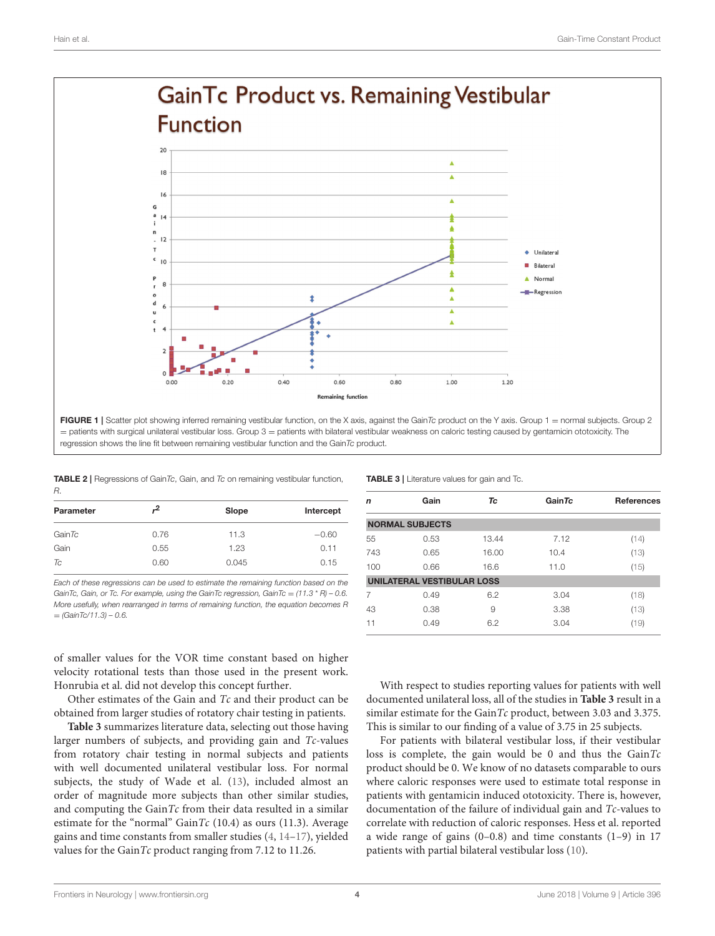

<span id="page-3-0"></span>

<span id="page-3-1"></span>

| <b>TABLE 2</b>   Regressions of GainTc, Gain, and Tc on remaining vestibular function, |  |  |  |
|----------------------------------------------------------------------------------------|--|--|--|
|                                                                                        |  |  |  |

| ,2   | Slope | Intercept |
|------|-------|-----------|
| 0.76 | 11.3  | $-0.60$   |
| 0.55 | 1.23  | 0.11      |
| 0.60 | 0.045 | 0.15      |
|      |       |           |

*Each of these regressions can be used to estimate the remaining function based on the GainTc, Gain, or Tc. For example, using the GainTc regression, GainTc* = *(11.3* \* *R) – 0.6. More usefully, when rearranged in terms of remaining function, the equation becomes R* = *(GainTc/11.3) – 0.6.*

of smaller values for the VOR time constant based on higher velocity rotational tests than those used in the present work. Honrubia et al. did not develop this concept further.

Other estimates of the Gain and Tc and their product can be obtained from larger studies of rotatory chair testing in patients.

**[Table 3](#page-3-2)** summarizes literature data, selecting out those having larger numbers of subjects, and providing gain and Tc-values from rotatory chair testing in normal subjects and patients with well documented unilateral vestibular loss. For normal subjects, the study of Wade et al. [\(13\)](#page-5-10), included almost an order of magnitude more subjects than other similar studies, and computing the GainTc from their data resulted in a similar estimate for the "normal" GainTc  $(10.4)$  as ours  $(11.3)$ . Average gains and time constants from smaller studies [\(4,](#page-5-1) [14](#page-5-11)[–17\)](#page-5-12), yielded values for the GainTc product ranging from 7.12 to 11.26.

| n   | Gain                              | Tc    | GainTc | <b>References</b> |
|-----|-----------------------------------|-------|--------|-------------------|
|     | <b>NORMAL SUBJECTS</b>            |       |        |                   |
| 55  | 0.53                              | 13.44 | 7.12   | (14)              |
| 743 | 0.65                              | 16.00 | 10.4   | (13)              |
| 100 | 0.66                              | 16.6  | 11.0   | (15)              |
|     | <b>UNILATERAL VESTIBULAR LOSS</b> |       |        |                   |
|     | 0.49                              | 6.2   | 3.04   | (18)              |
| 43  | 0.38                              | 9     | 3.38   | (13)              |
| 11  | 0.49                              | 6.2   | 3.04   | (19)              |

<span id="page-3-2"></span>TABLE 3 | Literature values for gain and Tc.

With respect to studies reporting values for patients with well documented unilateral loss, all of the studies in **[Table 3](#page-3-2)** result in a similar estimate for the GainTc product, between 3.03 and 3.375. This is similar to our finding of a value of 3.75 in 25 subjects.

For patients with bilateral vestibular loss, if their vestibular loss is complete, the gain would be 0 and thus the  $GainTc$ product should be 0. We know of no datasets comparable to ours where caloric responses were used to estimate total response in patients with gentamicin induced ototoxicity. There is, however, documentation of the failure of individual gain and Tc-values to correlate with reduction of caloric responses. Hess et al. reported a wide range of gains (0–0.8) and time constants (1–9) in 17 patients with partial bilateral vestibular loss [\(10\)](#page-5-7).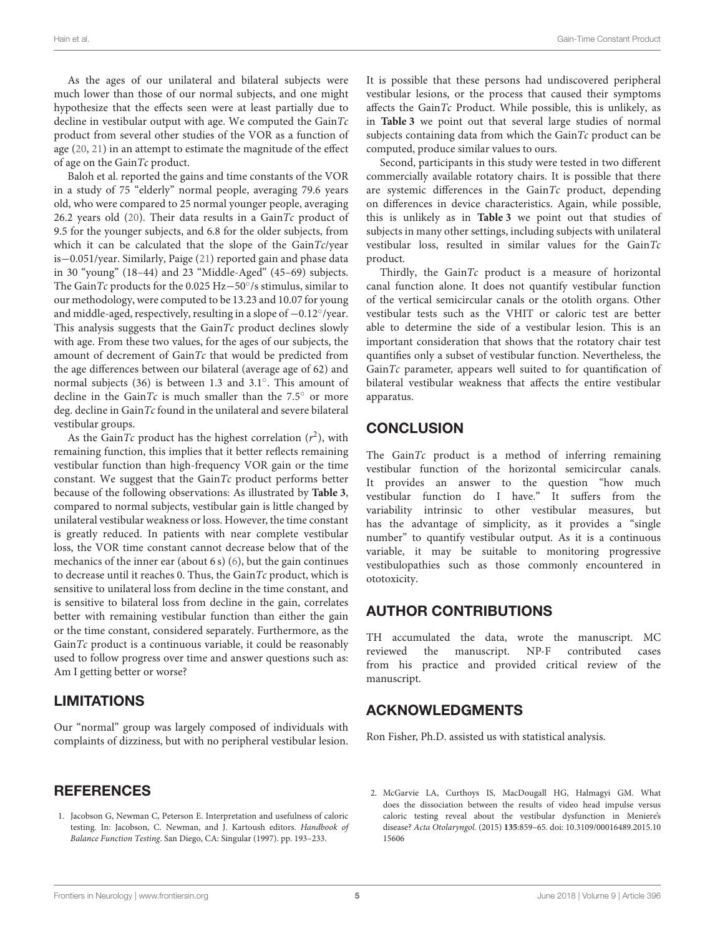As the ages of our unilateral and bilateral subjects were much lower than those of our normal subjects, and one might hypothesize that the effects seen were at least partially due to decline in vestibular output with age. We computed the  $GainTc$ product from several other studies of the VOR as a function of age [\(20,](#page-5-13) [21\)](#page-5-14) in an attempt to estimate the magnitude of the effect of age on the GainTc product.

Baloh et al. reported the gains and time constants of the VOR in a study of 75 "elderly" normal people, averaging 79.6 years old, who were compared to 25 normal younger people, averaging 26.2 years old [\(20\)](#page-5-13). Their data results in a GainTc product of 9.5 for the younger subjects, and 6.8 for the older subjects, from which it can be calculated that the slope of the GainTc/year is−0.051/year. Similarly, Paige [\(21\)](#page-5-14) reported gain and phase data in 30 "young" (18–44) and 23 "Middle-Aged" (45–69) subjects. The GainTc products for the 0.025 Hz-50°/s stimulus, similar to our methodology, were computed to be 13.23 and 10.07 for young and middle-aged, respectively, resulting in a slope of  $-0.12^{\circ}/\text{year}$ . This analysis suggests that the GainTc product declines slowly with age. From these two values, for the ages of our subjects, the amount of decrement of GainTc that would be predicted from the age differences between our bilateral (average age of 62) and normal subjects (36) is between 1.3 and 3.1◦ . This amount of decline in the GainTc is much smaller than the  $7.5^\circ$  or more deg. decline in  $GainTc$  found in the unilateral and severe bilateral vestibular groups.

As the GainTc product has the highest correlation  $(r^2)$ , with remaining function, this implies that it better reflects remaining vestibular function than high-frequency VOR gain or the time constant. We suggest that the  $GainTc$  product performs better because of the following observations: As illustrated by **[Table 3](#page-3-2)**, compared to normal subjects, vestibular gain is little changed by unilateral vestibular weakness or loss. However, the time constant is greatly reduced. In patients with near complete vestibular loss, the VOR time constant cannot decrease below that of the mechanics of the inner ear (about 6 s) [\(6\)](#page-5-3), but the gain continues to decrease until it reaches 0. Thus, the Gain $Tc$  product, which is sensitive to unilateral loss from decline in the time constant, and is sensitive to bilateral loss from decline in the gain, correlates better with remaining vestibular function than either the gain or the time constant, considered separately. Furthermore, as the  $GainTc$  product is a continuous variable, it could be reasonably used to follow progress over time and answer questions such as: Am I getting better or worse?

# LIMITATIONS

Our "normal" group was largely composed of individuals with complaints of dizziness, but with no peripheral vestibular lesion.

## **REFERENCES**

<span id="page-4-0"></span>1. Jacobson G, Newman C, Peterson E. Interpretation and usefulness of caloric testing. In: Jacobson, C. Newman, and J. Kartoush editors. Handbook of Balance Function Testing. San Diego, CA: Singular (1997). pp. 193–233.

It is possible that these persons had undiscovered peripheral vestibular lesions, or the process that caused their symptoms affects the GainTc Product. While possible, this is unlikely, as in **[Table 3](#page-3-2)** we point out that several large studies of normal subjects containing data from which the GainTc product can be computed, produce similar values to ours.

Second, participants in this study were tested in two different commercially available rotatory chairs. It is possible that there are systemic differences in the  $GainTc$  product, depending on differences in device characteristics. Again, while possible, this is unlikely as in **[Table 3](#page-3-2)** we point out that studies of subjects in many other settings, including subjects with unilateral vestibular loss, resulted in similar values for the  $GainTc$ product.

Thirdly, the  $GainTc$  product is a measure of horizontal canal function alone. It does not quantify vestibular function of the vertical semicircular canals or the otolith organs. Other vestibular tests such as the VHIT or caloric test are better able to determine the side of a vestibular lesion. This is an important consideration that shows that the rotatory chair test quantifies only a subset of vestibular function. Nevertheless, the Gain $Tc$  parameter, appears well suited to for quantification of bilateral vestibular weakness that affects the entire vestibular apparatus.

# **CONCLUSION**

The Gain $Tc$  product is a method of inferring remaining vestibular function of the horizontal semicircular canals. It provides an answer to the question "how much vestibular function do I have." It suffers from the variability intrinsic to other vestibular measures, but has the advantage of simplicity, as it provides a "single number" to quantify vestibular output. As it is a continuous variable, it may be suitable to monitoring progressive vestibulopathies such as those commonly encountered in ototoxicity.

# AUTHOR CONTRIBUTIONS

TH accumulated the data, wrote the manuscript. MC reviewed the manuscript. NP-F contributed cases from his practice and provided critical review of the manuscript.

# ACKNOWLEDGMENTS

Ron Fisher, Ph.D. assisted us with statistical analysis.

<span id="page-4-1"></span>2. McGarvie LA, Curthoys IS, MacDougall HG, Halmagyi GM. What does the dissociation between the results of video head impulse versus caloric testing reveal about the vestibular dysfunction in Meniere's disease? Acta Otolaryngol. (2015) **135**[:859–65. doi: 10.3109/00016489.2015.10](https://doi.org/10.3109/00016489.2015.1015606) 15606